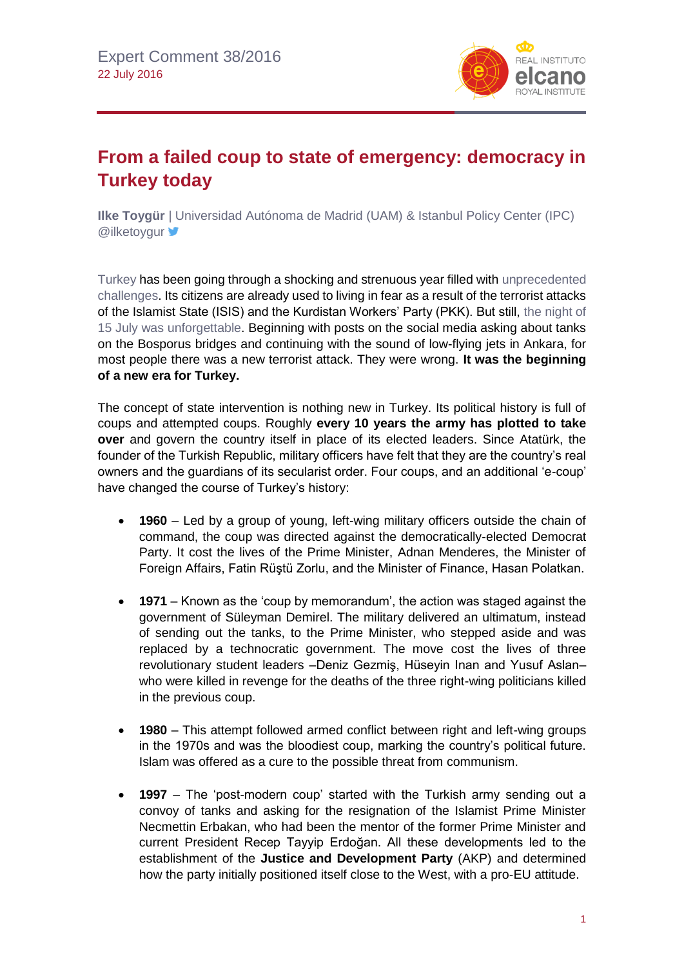

# **From a failed coup to state of emergency: democracy in Turkey today**

**Ilke Toygür** | Universidad Autónoma de Madrid (UAM) & Istanbul Policy Center (IPC) **@ilketoygur** 

[Turkey](http://www.blog.rielcano.org/en/tag/Turkey/) has been going through a shocking and strenuous year filled with [unprecedented](http://www.realinstitutoelcano.org/wps/portal/web/rielcano_en/contenido?WCM_GLOBAL_CONTEXT=/elcano/elcano_in/zonas_in/ari4-2016-ozel-surrounded-by-trouble-hit-by-conflict-turkey-manifold-challenges)  [challenges.](http://www.realinstitutoelcano.org/wps/portal/web/rielcano_en/contenido?WCM_GLOBAL_CONTEXT=/elcano/elcano_in/zonas_in/ari4-2016-ozel-surrounded-by-trouble-hit-by-conflict-turkey-manifold-challenges) Its citizens are already used to living in fear as a result of the terrorist attacks of the Islamist State (ISIS) and the Kurdistan Workers' Party (PKK). But still, [the night of](http://www.realinstitutoelcano.org/wps/portal/web/rielcano_en/contenido?WCM_GLOBAL_CONTEXT=/elcano/elcano_in/zonas_in/commentary-chislett-turkey-coup-first-one-failed) [15 July was unforgettable.](http://www.realinstitutoelcano.org/wps/portal/web/rielcano_en/contenido?WCM_GLOBAL_CONTEXT=/elcano/elcano_in/zonas_in/commentary-chislett-turkey-coup-first-one-failed) Beginning with posts on the social media asking about tanks on the Bosporus bridges and continuing with the sound of low-flying jets in Ankara, for most people there was a new terrorist attack. They were wrong. **It was the beginning of a new era for Turkey.**

The concept of state intervention is nothing new in Turkey. Its political history is full of coups and attempted coups. Roughly **every 10 years the army has plotted to take over** and govern the country itself in place of its elected leaders. Since Atatürk, the founder of the Turkish Republic, military officers have felt that they are the country's real owners and the guardians of its secularist order. Four coups, and an additional 'e-coup' have changed the course of Turkey's history:

- **1960** Led by a group of young, left-wing military officers outside the chain of command, the coup was directed against the democratically-elected Democrat Party. It cost the lives of the Prime Minister, Adnan Menderes, the Minister of Foreign Affairs, Fatin Rüştü Zorlu, and the Minister of Finance, Hasan Polatkan.
- **1971** Known as the 'coup by memorandum', the action was staged against the government of Süleyman Demirel. The military delivered an ultimatum, instead of sending out the tanks, to the Prime Minister, who stepped aside and was replaced by a technocratic government. The move cost the lives of three revolutionary student leaders –Deniz Gezmiş, Hüseyin Inan and Yusuf Aslan– who were killed in revenge for the deaths of the three right-wing politicians killed in the previous coup.
- **1980** This attempt followed armed conflict between right and left-wing groups in the 1970s and was the bloodiest coup, marking the country's political future. Islam was offered as a cure to the possible threat from communism.
- **1997**  The 'post-modern coup' started with the Turkish army sending out a convoy of tanks and asking for the resignation of the Islamist Prime Minister Necmettin Erbakan, who had been the mentor of the former Prime Minister and current President Recep Tayyip Erdoğan. All these developments led to the establishment of the **Justice and Development Party** (AKP) and determined how the party initially positioned itself close to the West, with a pro-EU attitude.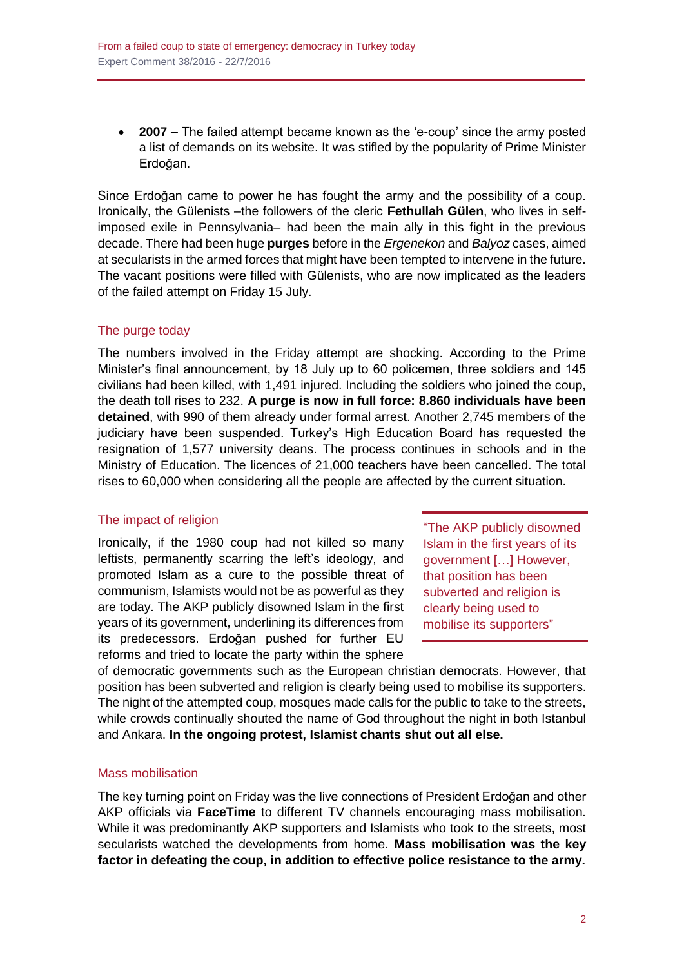**2007 –** The failed attempt became known as the 'e-coup' since the army posted a list of demands on its website. It was stifled by the popularity of Prime Minister Erdoğan.

Since Erdoğan came to power he has fought the army and the possibility of a coup. Ironically, the Gülenists –the followers of the cleric **Fethullah Gülen**, who lives in selfimposed exile in Pennsylvania– had been the main ally in this fight in the previous decade. There had been huge **purges** before in the *Ergenekon* and *Balyoz* cases, aimed at secularists in the armed forces that might have been tempted to intervene in the future. The vacant positions were filled with Gülenists, who are now implicated as the leaders of the failed attempt on Friday 15 July.

## The purge today

The numbers involved in the Friday attempt are shocking. According to the Prime Minister's final announcement, by 18 July up to 60 policemen, three soldiers and 145 civilians had been killed, with 1,491 injured. Including the soldiers who joined the coup, the death toll rises to 232. **A purge is now in full force: 8.860 individuals have been detained**, with 990 of them already under formal arrest. Another 2,745 members of the judiciary have been suspended. Turkey's High Education Board has requested the resignation of 1,577 university deans. The process continues in schools and in the Ministry of Education. The licences of 21,000 teachers have been cancelled. The total rises to 60,000 when considering all the people are affected by the current situation.

### The impact of religion

Ironically, if the 1980 coup had not killed so many leftists, permanently scarring the left's ideology, and promoted Islam as a cure to the possible threat of communism, Islamists would not be as powerful as they are today. The AKP publicly disowned Islam in the first years of its government, underlining its differences from its predecessors. Erdoğan pushed for further EU reforms and tried to locate the party within the sphere

"The AKP publicly disowned Islam in the first years of its government […] However, that position has been subverted and religion is clearly being used to mobilise its supporters"

of democratic governments such as the European christian democrats. However, that position has been subverted and religion is clearly being used to mobilise its supporters. The night of the attempted coup, mosques made calls for the public to take to the streets, while crowds continually shouted the name of God throughout the night in both Istanbul and Ankara. **In the ongoing protest, Islamist chants shut out all else.**

### Mass mobilisation

The key turning point on Friday was the live connections of President Erdoğan and other AKP officials via **FaceTime** to different TV channels encouraging mass mobilisation. While it was predominantly AKP supporters and Islamists who took to the streets, most secularists watched the developments from home. **Mass mobilisation was the key factor in defeating the coup, in addition to effective police resistance to the army.**